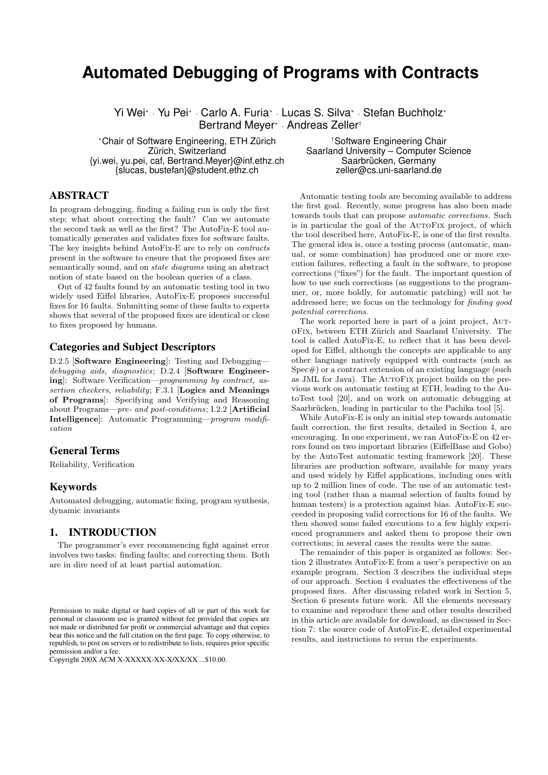# **Automated Debugging of Programs with Contracts**

Yi Wei<sup>∗</sup> · Yu Pei<sup>∗</sup> · Carlo A. Furia<sup>∗</sup> · Lucas S. Silva<sup>∗</sup> · Stefan Buchholz<sup>∗</sup> Bertrand Meyer<sup>∗</sup> · Andreas Zeller†

<sup>∗</sup>Chair of Software Engineering, ETH Zürich †Software Engineering Chair {yi.wei, yu.pei, caf, Bertrand.Meyer}@inf.ethz.ch Saarbrücken, Germany  ${s}$ lucas, bustefan $@$ student.ethz.ch

Saarland University – Computer Science<br>Saarbrücken, Germany

# ABSTRACT

In program debugging, finding a failing run is only the first step; what about correcting the fault? Can we automate the second task as well as the first? The AutoFix-E tool automatically generates and validates fixes for software faults. The key insights behind AutoFix-E are to rely on contracts present in the software to ensure that the proposed fixes are semantically sound, and on state diagrams using an abstract notion of state based on the boolean queries of a class.

Out of 42 faults found by an automatic testing tool in two widely used Eiffel libraries, AutoFix-E proposes successful fixes for 16 faults. Submitting some of these faults to experts shows that several of the proposed fixes are identical or close to fixes proposed by humans.

# Categories and Subject Descriptors

D.2.5 [Software Engineering]: Testing and Debuggingdebugging aids, diagnostics; D.2.4 [Software Engineering]: Software Verification—programming by contract, assertion checkers, reliability; F.3.1 [Logics and Meanings of Programs]: Specifying and Verifying and Reasoning about Programs—pre- and post-conditions; I.2.2 [Artificial Intelligence]: Automatic Programming—program modification

# General Terms

Reliability, Verification

# Keywords

Automated debugging, automatic fixing, program synthesis, dynamic invariants

# 1. INTRODUCTION

The programmer's ever recommencing fight against error involves two tasks: finding faults; and correcting them. Both are in dire need of at least partial automation.

Copyright 200X ACM X-XXXXX-XX-X/XX/XX ...\$10.00.

Automatic testing tools are becoming available to address the first goal. Recently, some progress has also been made towards tools that can propose automatic corrections. Such is in particular the goal of the AutoFix project, of which the tool described here, AutoFix-E, is one of the first results. The general idea is, once a testing process (automatic, manual, or some combination) has produced one or more execution failures, reflecting a fault in the software, to propose corrections ("fixes") for the fault. The important question of how to use such corrections (as suggestions to the programmer, or, more boldly, for automatic patching) will not be addressed here; we focus on the technology for finding good potential corrections.

The work reported here is part of a joint project, AutoFix, between ETH Zurich and Saarland University. The ¨ tool is called AutoFix-E, to reflect that it has been developed for Eiffel, although the concepts are applicable to any other language natively equipped with contracts (such as Spec#) or a contract extension of an existing language (such as JML for Java). The AutoFix project builds on the previous work on automatic testing at ETH, leading to the AutoTest tool [20], and on work on automatic debugging at Saarbrücken, leading in particular to the Pachika tool [5].

While AutoFix-E is only an initial step towards automatic fault correction, the first results, detailed in Section 4, are encouraging. In one experiment, we ran AutoFix-E on 42 errors found on two important libraries (EiffelBase and Gobo) by the AutoTest automatic testing framework [20]. These libraries are production software, available for many years and used widely by Eiffel applications, including ones with up to 2 million lines of code. The use of an automatic testing tool (rather than a manual selection of faults found by human testers) is a protection against bias. AutoFix-E succeeded in proposing valid corrections for 16 of the faults. We then showed some failed executions to a few highly experienced programmers and asked them to propose their own corrections; in several cases the results were the same.

The remainder of this paper is organized as follows: Section 2 illustrates AutoFix-E from a user's perspective on an example program. Section 3 describes the individual steps of our approach. Section 4 evaluates the effectiveness of the proposed fixes. After discussing related work in Section 5, Section 6 presents future work. All the elements necessary to examine and reproduce these and other results described in this article are available for download, as discussed in Section 7: the source code of AutoFix-E, detailed experimental results, and instructions to rerun the experiments.

Permission to make digital or hard copies of all or part of this work for personal or classroom use is granted without fee provided that copies are not made or distributed for profit or commercial advantage and that copies bear this notice and the full citation on the first page. To copy otherwise, to republish, to post on servers or to redistribute to lists, requires prior specific permission and/or a fee.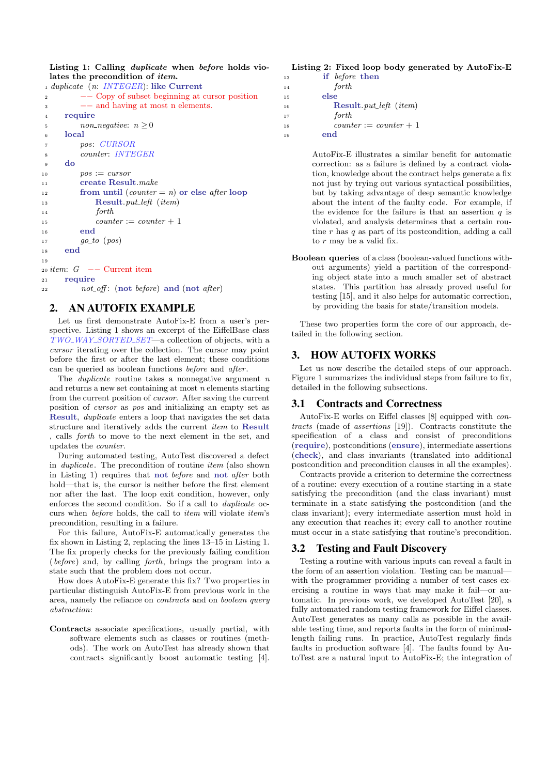Listing 1: Calling duplicate when before holds violates the precondition of item.

```
1 duplicate (n: INTEGER): like Current
2 −− Copy of subset beginning at cursor position
3 −− and having at most n elements.
4 require
\frac{5}{5} non_negative: n > 06 local
7 pos: CURSOR
8 counter: INTEGER
9 do
10 pos := cursor11 create Result.make
12 from until (counter = n) or else after loop
13 Result. put left (item)
14 forth
15 counter := counter + 1
16 end
17 \hspace{1.5cm} qo\_to \hspace{1cm} (pos)18 end
1620 item: G = - Current item
21 require
22 not_off: (not before) and (not after)
```
# 2. AN AUTOFIX EXAMPLE

Let us first demonstrate AutoFix-E from a user's perspective. Listing 1 shows an excerpt of the EiffelBase class  $TWO_WAY\_SORTED\_SET$ —a collection of objects, with a cursor iterating over the collection. The cursor may point before the first or after the last element; these conditions can be queried as boolean functions before and after .

The *duplicate* routine takes a nonnegative argument  $n$ and returns a new set containing at most  $n$  elements starting from the current position of cursor. After saving the current position of cursor as pos and initializing an empty set as Result, duplicate enters a loop that navigates the set data structure and iteratively adds the current item to Result , calls forth to move to the next element in the set, and updates the counter.

During automated testing, AutoTest discovered a defect in *duplicate*. The precondition of routine *item* (also shown in Listing 1) requires that not before and not after both hold—that is, the cursor is neither before the first element nor after the last. The loop exit condition, however, only enforces the second condition. So if a call to duplicate occurs when before holds, the call to item will violate item's precondition, resulting in a failure.

For this failure, AutoFix-E automatically generates the fix shown in Listing 2, replacing the lines 13–15 in Listing 1. The fix properly checks for the previously failing condition (before) and, by calling forth, brings the program into a state such that the problem does not occur.

How does AutoFix-E generate this fix? Two properties in particular distinguish AutoFix-E from previous work in the area, namely the reliance on contracts and on boolean query abstraction:

Contracts associate specifications, usually partial, with software elements such as classes or routines (methods). The work on AutoTest has already shown that contracts significantly boost automatic testing [4].

# Listing 2: Fixed loop body generated by AutoFix-E

```
13 if before then
14 forth
15 else
16 Result. put_left (item)
17 forth
18 counter := counter + 1
19 end
```
AutoFix-E illustrates a similar benefit for automatic correction: as a failure is defined by a contract violation, knowledge about the contract helps generate a fix not just by trying out various syntactical possibilities, but by taking advantage of deep semantic knowledge about the intent of the faulty code. For example, if the evidence for the failure is that an assertion  $q$  is violated, and analysis determines that a certain routine  $r$  has  $q$  as part of its postcondition, adding a call to  $r$  may be a valid fix.

Boolean queries of a class (boolean-valued functions without arguments) yield a partition of the corresponding object state into a much smaller set of abstract states. This partition has already proved useful for testing [15], and it also helps for automatic correction, by providing the basis for state/transition models.

These two properties form the core of our approach, detailed in the following section.

# 3. HOW AUTOFIX WORKS

Let us now describe the detailed steps of our approach. Figure 1 summarizes the individual steps from failure to fix, detailed in the following subsections.

## 3.1 Contracts and Correctness

AutoFix-E works on Eiffel classes [8] equipped with contracts (made of assertions [19]). Contracts constitute the specification of a class and consist of preconditions (require), postconditions (ensure), intermediate assertions (check), and class invariants (translated into additional postcondition and precondition clauses in all the examples).

Contracts provide a criterion to determine the correctness of a routine: every execution of a routine starting in a state satisfying the precondition (and the class invariant) must terminate in a state satisfying the postcondition (and the class invariant); every intermediate assertion must hold in any execution that reaches it; every call to another routine must occur in a state satisfying that routine's precondition.

## 3.2 Testing and Fault Discovery

Testing a routine with various inputs can reveal a fault in the form of an assertion violation. Testing can be manual with the programmer providing a number of test cases exercising a routine in ways that may make it fail—or automatic. In previous work, we developed AutoTest [20], a fully automated random testing framework for Eiffel classes. AutoTest generates as many calls as possible in the available testing time, and reports faults in the form of minimallength failing runs. In practice, AutoTest regularly finds faults in production software [4]. The faults found by AutoTest are a natural input to AutoFix-E; the integration of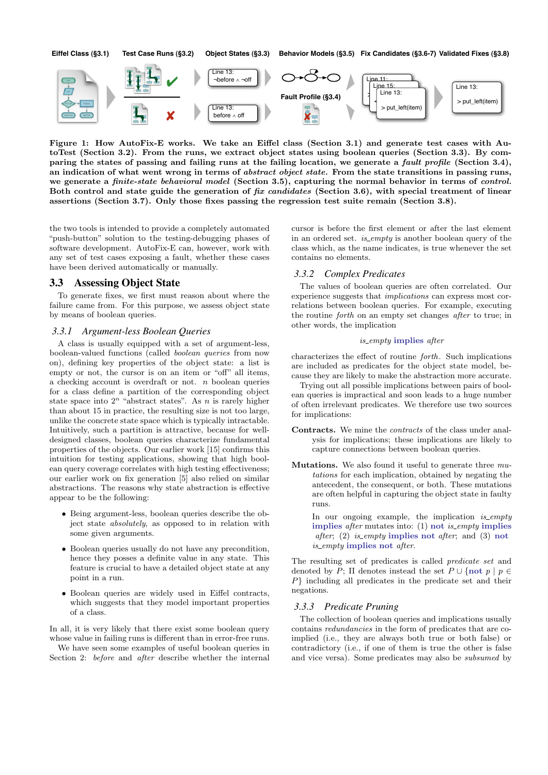

Figure 1: How AutoFix-E works. We take an Eiffel class (Section 3.1) and generate test cases with AutoTest (Section 3.2). From the runs, we extract object states using boolean queries (Section 3.3). By comparing the states of passing and failing runs at the failing location, we generate a fault profile (Section 3.4), an indication of what went wrong in terms of *abstract object state*. From the state transitions in passing runs, we generate a finite-state behavioral model (Section 3.5), capturing the normal behavior in terms of control. Both control and state guide the generation of fix candidates (Section 3.6), with special treatment of linear assertions (Section 3.7). Only those fixes passing the regression test suite remain (Section 3.8).

the two tools is intended to provide a completely automated "push-button" solution to the testing-debugging phases of software development. AutoFix-E can, however, work with any set of test cases exposing a fault, whether these cases have been derived automatically or manually.

## 3.3 Assessing Object State

To generate fixes, we first must reason about where the failure came from. For this purpose, we assess object state by means of boolean queries.

# *3.3.1 Argument-less Boolean Queries*

A class is usually equipped with a set of argument-less, boolean-valued functions (called boolean queries from now on), defining key properties of the object state: a list is empty or not, the cursor is on an item or "off" all items, a checking account is overdraft or not. n boolean queries for a class define a partition of the corresponding object state space into  $2^n$  "abstract states". As n is rarely higher than about 15 in practice, the resulting size is not too large, unlike the concrete state space which is typically intractable. Intuitively, such a partition is attractive, because for welldesigned classes, boolean queries characterize fundamental properties of the objects. Our earlier work [15] confirms this intuition for testing applications, showing that high boolean query coverage correlates with high testing effectiveness; our earlier work on fix generation [5] also relied on similar abstractions. The reasons why state abstraction is effective appear to be the following:

- Being argument-less, boolean queries describe the object state absolutely, as opposed to in relation with some given arguments.
- Boolean queries usually do not have any precondition, hence they posses a definite value in any state. This feature is crucial to have a detailed object state at any point in a run.
- Boolean queries are widely used in Eiffel contracts, which suggests that they model important properties of a class.

In all, it is very likely that there exist some boolean query whose value in failing runs is different than in error-free runs.

We have seen some examples of useful boolean queries in Section 2: before and *after* describe whether the internal cursor is before the first element or after the last element in an ordered set. *is\_empty* is another boolean query of the class which, as the name indicates, is true whenever the set contains no elements.

#### *3.3.2 Complex Predicates*

The values of boolean queries are often correlated. Our experience suggests that implications can express most correlations between boolean queries. For example, executing the routine forth on an empty set changes after to true; in other words, the implication

#### is empty implies after

characterizes the effect of routine forth. Such implications are included as predicates for the object state model, because they are likely to make the abstraction more accurate.

Trying out all possible implications between pairs of boolean queries is impractical and soon leads to a huge number of often irrelevant predicates. We therefore use two sources for implications:

- Contracts. We mine the contracts of the class under analysis for implications; these implications are likely to capture connections between boolean queries.
- **Mutations.** We also found it useful to generate three  $mu$ tations for each implication, obtained by negating the antecedent, the consequent, or both. These mutations are often helpful in capturing the object state in faulty runs.

In our ongoing example, the implication is\_empty implies after mutates into:  $(1)$  not *is\_empty* implies after; (2) is\_empty implies not after; and (3) not is empty implies not after.

The resulting set of predicates is called predicate set and denoted by P;  $\Pi$  denotes instead the set  $P \cup \{\text{not } p \mid p \in$ P} including all predicates in the predicate set and their negations.

### *3.3.3 Predicate Pruning*

The collection of boolean queries and implications usually contains redundancies in the form of predicates that are coimplied (i.e., they are always both true or both false) or contradictory (i.e., if one of them is true the other is false and vice versa). Some predicates may also be subsumed by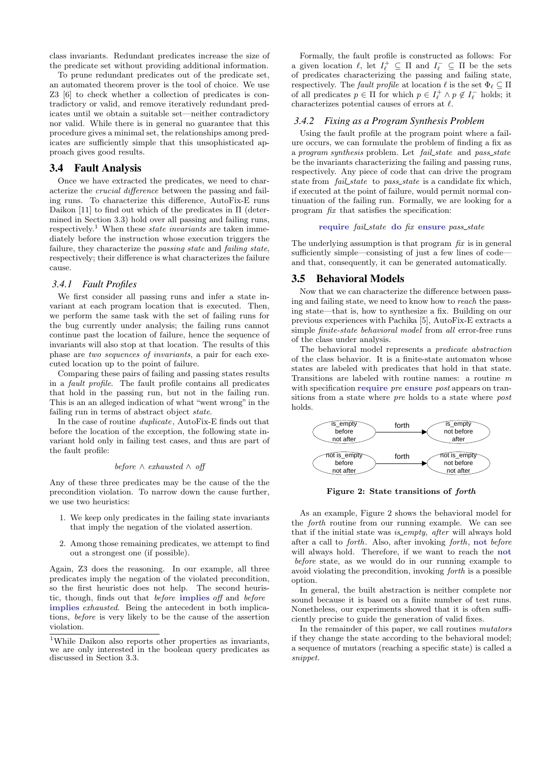class invariants. Redundant predicates increase the size of the predicate set without providing additional information.

To prune redundant predicates out of the predicate set, an automated theorem prover is the tool of choice. We use Z3 [6] to check whether a collection of predicates is contradictory or valid, and remove iteratively redundant predicates until we obtain a suitable set—neither contradictory nor valid. While there is in general no guarantee that this procedure gives a minimal set, the relationships among predicates are sufficiently simple that this unsophisticated approach gives good results.

## 3.4 Fault Analysis

Once we have extracted the predicates, we need to characterize the crucial difference between the passing and failing runs. To characterize this difference, AutoFix-E runs Daikon [11] to find out which of the predicates in Π (determined in Section 3.3) hold over all passing and failing runs, respectively.<sup>1</sup> When these *state invariants* are taken immediately before the instruction whose execution triggers the failure, they characterize the passing state and failing state, respectively; their difference is what characterizes the failure cause.

### *3.4.1 Fault Profiles*

We first consider all passing runs and infer a state invariant at each program location that is executed. Then, we perform the same task with the set of failing runs for the bug currently under analysis; the failing runs cannot continue past the location of failure, hence the sequence of invariants will also stop at that location. The results of this phase are two sequences of invariants, a pair for each executed location up to the point of failure.

Comparing these pairs of failing and passing states results in a fault profile. The fault profile contains all predicates that hold in the passing run, but not in the failing run. This is an an alleged indication of what "went wrong" in the failing run in terms of abstract object state.

In the case of routine duplicate , AutoFix-E finds out that before the location of the exception, the following state invariant hold only in failing test cases, and thus are part of the fault profile:

#### before  $\land$  exhausted  $\land$  off

Any of these three predicates may be the cause of the the precondition violation. To narrow down the cause further, we use two heuristics:

- 1. We keep only predicates in the failing state invariants that imply the negation of the violated assertion.
- 2. Among those remaining predicates, we attempt to find out a strongest one (if possible).

Again, Z3 does the reasoning. In our example, all three predicates imply the negation of the violated precondition, so the first heuristic does not help. The second heuristic, though, finds out that before implies off and before implies exhausted. Being the antecedent in both implications, before is very likely to be the cause of the assertion violation.

Formally, the fault profile is constructed as follows: For a given location  $\ell$ , let  $I_{\ell}^+ \subseteq \Pi$  and  $I_{\ell}^- \subseteq \Pi$  be the sets of predicates characterizing the passing and failing state, respectively. The fault profile at location  $\ell$  is the set  $\Phi_{\ell} \subseteq \Pi$ of all predicates  $p \in \Pi$  for which  $p \in I_{\ell}^+ \wedge p \notin I_{\ell}^-$  holds; it characterizes potential causes of errors at  $\ell$ .

#### *3.4.2 Fixing as a Program Synthesis Problem*

Using the fault profile at the program point where a failure occurs, we can formulate the problem of finding a fix as a program synthesis problem. Let fail\_state and pass\_state be the invariants characterizing the failing and passing runs, respectively. Any piece of code that can drive the program state from *fail\_state* to *pass\_state* is a candidate fix which, if executed at the point of failure, would permit normal continuation of the failing run. Formally, we are looking for a program fix that satisfies the specification:

#### require fail\_state do fix ensure pass\_state

The underlying assumption is that program  $\hbar x$  is in general sufficiently simple—consisting of just a few lines of code and that, consequently, it can be generated automatically.

## 3.5 Behavioral Models

Now that we can characterize the difference between passing and failing state, we need to know how to reach the passing state—that is, how to synthesize a fix. Building on our previous experiences with Pachika [5], AutoFix-E extracts a simple finite-state behavioral model from all error-free runs of the class under analysis.

The behavioral model represents a predicate abstraction of the class behavior. It is a finite-state automaton whose states are labeled with predicates that hold in that state. Transitions are labeled with routine names: a routine m with specification require pre ensure post appears on transitions from a state where pre holds to a state where post holds.



Figure 2: State transitions of forth

As an example, Figure 2 shows the behavioral model for the forth routine from our running example. We can see that if the initial state was *is\_empty*, *after* will always hold after a call to forth. Also, after invoking forth, not before will always hold. Therefore, if we want to reach the not before state, as we would do in our running example to avoid violating the precondition, invoking forth is a possible option.

In general, the built abstraction is neither complete nor sound because it is based on a finite number of test runs. Nonetheless, our experiments showed that it is often sufficiently precise to guide the generation of valid fixes.

In the remainder of this paper, we call routines mutators if they change the state according to the behavioral model; a sequence of mutators (reaching a specific state) is called a snippet.

<sup>&</sup>lt;sup>1</sup>While Daikon also reports other properties as invariants, we are only interested in the boolean query predicates as discussed in Section 3.3.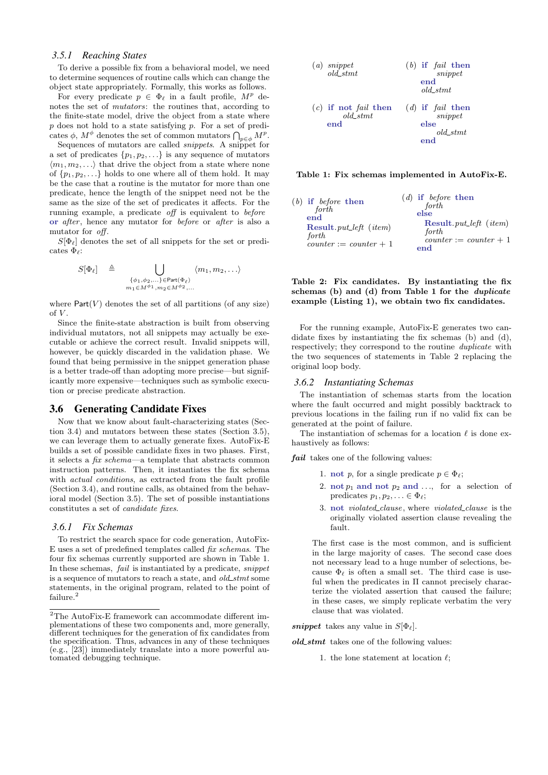#### *3.5.1 Reaching States*

To derive a possible fix from a behavioral model, we need to determine sequences of routine calls which can change the object state appropriately. Formally, this works as follows.

For every predicate  $p \in \Phi_\ell$  in a fault profile,  $M^p$  denotes the set of mutators: the routines that, according to the finite-state model, drive the object from a state where  $p$  does not hold to a state satisfying  $p$ . For a set of predicates  $\phi$ ,  $M^{\phi}$  denotes the set of common mutators  $\bigcap_{p\in\phi}M^p$ .

Sequences of mutators are called snippets. A snippet for a set of predicates  $\{p_1, p_2, \ldots\}$  is any sequence of mutators  $\langle m_1, m_2, \ldots \rangle$  that drive the object from a state where none of  $\{p_1, p_2, \ldots\}$  holds to one where all of them hold. It may be the case that a routine is the mutator for more than one predicate, hence the length of the snippet need not be the same as the size of the set of predicates it affects. For the running example, a predicate off is equivalent to before or after, hence any mutator for before or after is also a mutator for *off*.

 $S[\Phi_\ell]$  denotes the set of all snippets for the set or predicates  $\Phi_{\ell}$ :

$$
S[\Phi_{\ell}] \triangleq \bigcup_{\substack{\{\phi_1,\phi_2,\ldots\}\in \text{Part}(\Phi_{\ell})\\m_1\in M^{\phi_1}, m_2\in M^{\phi_2},\ldots}} \langle m_1, m_2, \ldots \rangle
$$

where  $Part(V)$  denotes the set of all partitions (of any size) of  $V$ .

Since the finite-state abstraction is built from observing individual mutators, not all snippets may actually be executable or achieve the correct result. Invalid snippets will, however, be quickly discarded in the validation phase. We found that being permissive in the snippet generation phase is a better trade-off than adopting more precise—but significantly more expensive—techniques such as symbolic execution or precise predicate abstraction.

## 3.6 Generating Candidate Fixes

Now that we know about fault-characterizing states (Section 3.4) and mutators between these states (Section 3.5), we can leverage them to actually generate fixes. AutoFix-E builds a set of possible candidate fixes in two phases. First, it selects a fix schema—a template that abstracts common instruction patterns. Then, it instantiates the fix schema with *actual conditions*, as extracted from the fault profile (Section 3.4), and routine calls, as obtained from the behavioral model (Section 3.5). The set of possible instantiations constitutes a set of candidate fixes.

#### *3.6.1 Fix Schemas*

To restrict the search space for code generation, AutoFix-E uses a set of predefined templates called fix schemas. The four fix schemas currently supported are shown in Table 1. In these schemas, fail is instantiated by a predicate, snippet is a sequence of mutators to reach a state, and  $old\_stmt$  some statements, in the original program, related to the point of failure.<sup>2</sup>

| $(a)$ snippet<br>$old\_stmt$                        | $(b)$ if <i>fail</i> then<br>snippet<br>end<br>old stmt     |
|-----------------------------------------------------|-------------------------------------------------------------|
| $(c)$ if not <i>fail</i> then<br>$old\_stmt$<br>end | $(d)$ if <i>fail</i> then<br>snippet<br>else<br>$old\_stmt$ |

Table 1: Fix schemas implemented in AutoFix-E.

| $(b)$ if before then<br>forth<br>end<br><b>Result</b> <i>put_left</i> ( <i>item</i> )<br>forth | $(d)$ if before then<br>forth<br>else<br><b>Result</b> <i>put_left</i> ( <i>item</i> )<br>forth<br>$counter := counter + 1$ |
|------------------------------------------------------------------------------------------------|-----------------------------------------------------------------------------------------------------------------------------|
| $counter := counter + 1$                                                                       | end                                                                                                                         |

Table 2: Fix candidates. By instantiating the fix schemas (b) and (d) from Table 1 for the duplicate example (Listing 1), we obtain two fix candidates.

For the running example, AutoFix-E generates two candidate fixes by instantiating the fix schemas (b) and (d), respectively; they correspond to the routine duplicate with the two sequences of statements in Table 2 replacing the original loop body.

#### *3.6.2 Instantiating Schemas*

The instantiation of schemas starts from the location where the fault occurred and might possibly backtrack to previous locations in the failing run if no valid fix can be generated at the point of failure.

The instantiation of schemas for a location  $\ell$  is done exhaustively as follows:

fail takes one of the following values:

- 1. not p, for a single predicate  $p \in \Phi_{\ell}$ ;
- 2. not  $p_1$  and not  $p_2$  and ..., for a selection of predicates  $p_1, p_2, \ldots \in \Phi_\ell$ ;
- 3. not *violated\_clause*, where *violated\_clause* is the originally violated assertion clause revealing the fault.

The first case is the most common, and is sufficient in the large majority of cases. The second case does not necessary lead to a huge number of selections, because  $\Phi_{\ell}$  is often a small set. The third case is useful when the predicates in Π cannot precisely characterize the violated assertion that caused the failure; in these cases, we simply replicate verbatim the very clause that was violated.

snippet takes any value in  $S[\Phi_\ell]$ .

 $old\_stmt$  takes one of the following values:

1. the lone statement at location  $\ell$ ;

 $^{2} \mathrm{The}$  AutoFix-E framework can accommodate different implementations of these two components and, more generally, different techniques for the generation of fix candidates from the specification. Thus, advances in any of these techniques (e.g., [23]) immediately translate into a more powerful automated debugging technique.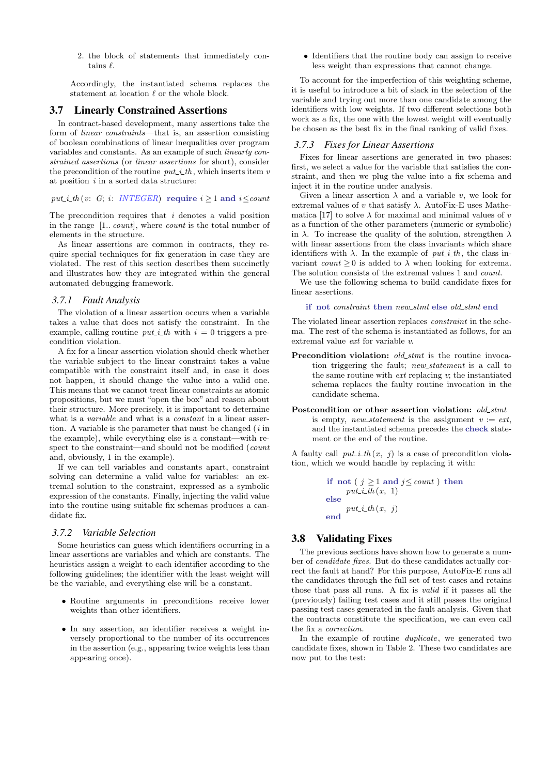2. the block of statements that immediately contains  $\ell$ .

Accordingly, the instantiated schema replaces the statement at location  $\ell$  or the whole block.

## 3.7 Linearly Constrained Assertions

In contract-based development, many assertions take the form of linear constraints—that is, an assertion consisting of boolean combinations of linear inequalities over program variables and constants. As an example of such linearly constrained assertions (or linear assertions for short), consider the precondition of the routine  $put\_i\_th$ , which inserts item v at position  $i$  in a sorted data structure:

put *i\_th* (v: G; *i*: *INTEGER*) require  $i > 1$  and  $i < count$ 

The precondition requires that  $i$  denotes a valid position in the range [1.. count], where count is the total number of elements in the structure.

As linear assertions are common in contracts, they require special techniques for fix generation in case they are violated. The rest of this section describes them succinctly and illustrates how they are integrated within the general automated debugging framework.

## *3.7.1 Fault Analysis*

The violation of a linear assertion occurs when a variable takes a value that does not satisfy the constraint. In the example, calling routine *put i th* with  $i = 0$  triggers a precondition violation.

A fix for a linear assertion violation should check whether the variable subject to the linear constraint takes a value compatible with the constraint itself and, in case it does not happen, it should change the value into a valid one. This means that we cannot treat linear constraints as atomic propositions, but we must "open the box" and reason about their structure. More precisely, it is important to determine what is a *variable* and what is a *constant* in a linear assertion. A variable is the parameter that must be changed  $(i$  in the example), while everything else is a constant—with respect to the constraint—and should not be modified (count and, obviously, 1 in the example).

If we can tell variables and constants apart, constraint solving can determine a valid value for variables: an extremal solution to the constraint, expressed as a symbolic expression of the constants. Finally, injecting the valid value into the routine using suitable fix schemas produces a candidate fix.

#### *3.7.2 Variable Selection*

Some heuristics can guess which identifiers occurring in a linear assertions are variables and which are constants. The heuristics assign a weight to each identifier according to the following guidelines; the identifier with the least weight will be the variable, and everything else will be a constant.

- Routine arguments in preconditions receive lower weights than other identifiers.
- In any assertion, an identifier receives a weight inversely proportional to the number of its occurrences in the assertion (e.g., appearing twice weights less than appearing once).

• Identifiers that the routine body can assign to receive less weight than expressions that cannot change.

To account for the imperfection of this weighting scheme, it is useful to introduce a bit of slack in the selection of the variable and trying out more than one candidate among the identifiers with low weights. If two different selections both work as a fix, the one with the lowest weight will eventually be chosen as the best fix in the final ranking of valid fixes.

#### *3.7.3 Fixes for Linear Assertions*

Fixes for linear assertions are generated in two phases: first, we select a value for the variable that satisfies the constraint, and then we plug the value into a fix schema and inject it in the routine under analysis.

Given a linear assertion  $\lambda$  and a variable v, we look for extremal values of v that satisfy  $\lambda$ . AutoFix-E uses Mathematica [17] to solve  $\lambda$  for maximal and minimal values of v as a function of the other parameters (numeric or symbolic) in  $\lambda$ . To increase the quality of the solution, strengthen  $\lambda$ with linear assertions from the class invariants which share identifiers with  $\lambda$ . In the example of  $put\_i_{\text{L}}th$ , the class invariant count  $\geq 0$  is added to  $\lambda$  when looking for extrema. The solution consists of the extremal values 1 and count.

We use the following schema to build candidate fixes for linear assertions.

if not constraint then new stmt else old stmt end

The violated linear assertion replaces constraint in the schema. The rest of the schema is instantiated as follows, for an extremal value ext for variable v.

- Precondition violation:  $old\_stmt$  is the routine invocation triggering the fault; *new\_statement* is a call to the same routine with  $ext{ certain}$  replacing v; the instantiated schema replaces the faulty routine invocation in the candidate schema.
- Postcondition or other assertion violation:  $old\_stmt$ is empty, new\_statement is the assignment  $v := ext$ , and the instantiated schema precedes the check statement or the end of the routine.

A faulty call  $put\_i_{t}th(x, j)$  is a case of precondition violation, which we would handle by replacing it with:

> if not ( $j \ge 1$  and  $j \le$  *count*) then  $put\_i\_th(x, 1)$ else  $put\_i\_th(x, j)$ end

# 3.8 Validating Fixes

The previous sections have shown how to generate a number of candidate fixes. But do these candidates actually correct the fault at hand? For this purpose, AutoFix-E runs all the candidates through the full set of test cases and retains those that pass all runs. A fix is valid if it passes all the (previously) failing test cases and it still passes the original passing test cases generated in the fault analysis. Given that the contracts constitute the specification, we can even call the fix a correction.

In the example of routine  $\text{d}$ *uplicate*, we generated two candidate fixes, shown in Table 2. These two candidates are now put to the test: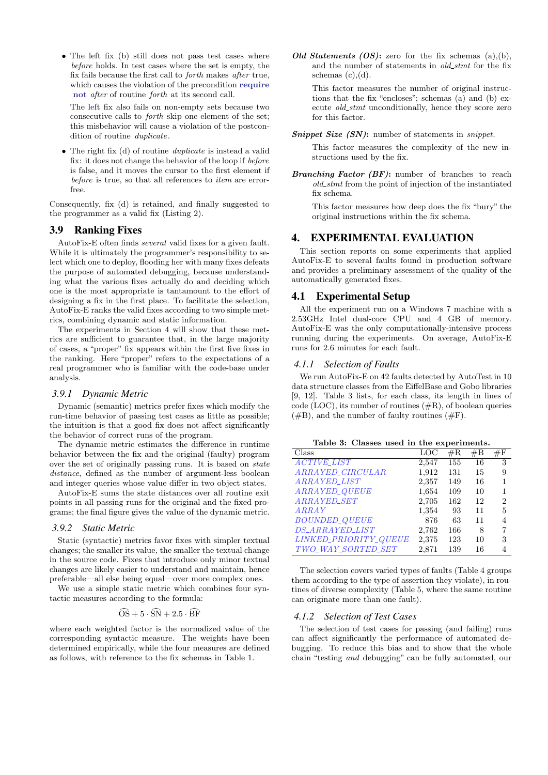• The left fix (b) still does not pass test cases where before holds. In test cases where the set is empty, the fix fails because the first call to forth makes after true, which causes the violation of the precondition require not after of routine forth at its second call.

The left fix also fails on non-empty sets because two consecutive calls to forth skip one element of the set; this misbehavior will cause a violation of the postcondition of routine *duplicate*.

• The right fix (d) of routine *duplicate* is instead a valid fix: it does not change the behavior of the loop if before is false, and it moves the cursor to the first element if before is true, so that all references to *item* are errorfree.

Consequently, fix (d) is retained, and finally suggested to the programmer as a valid fix (Listing 2).

# 3.9 Ranking Fixes

AutoFix-E often finds several valid fixes for a given fault. While it is ultimately the programmer's responsibility to select which one to deploy, flooding her with many fixes defeats the purpose of automated debugging, because understanding what the various fixes actually do and deciding which one is the most appropriate is tantamount to the effort of designing a fix in the first place. To facilitate the selection, AutoFix-E ranks the valid fixes according to two simple metrics, combining dynamic and static information.

The experiments in Section 4 will show that these metrics are sufficient to guarantee that, in the large majority of cases, a "proper" fix appears within the first five fixes in the ranking. Here "proper" refers to the expectations of a real programmer who is familiar with the code-base under analysis.

#### *3.9.1 Dynamic Metric*

Dynamic (semantic) metrics prefer fixes which modify the run-time behavior of passing test cases as little as possible; the intuition is that a good fix does not affect significantly the behavior of correct runs of the program.

The dynamic metric estimates the difference in runtime behavior between the fix and the original (faulty) program over the set of originally passing runs. It is based on state distance, defined as the number of argument-less boolean and integer queries whose value differ in two object states.

AutoFix-E sums the state distances over all routine exit points in all passing runs for the original and the fixed programs; the final figure gives the value of the dynamic metric.

#### *3.9.2 Static Metric*

Static (syntactic) metrics favor fixes with simpler textual changes; the smaller its value, the smaller the textual change in the source code. Fixes that introduce only minor textual changes are likely easier to understand and maintain, hence preferable—all else being equal—over more complex ones.

We use a simple static metric which combines four syntactic measures according to the formula:

$$
\widehat{\text{OS}} + 5 \cdot \widehat{\text{SN}} + 2.5 \cdot \widehat{\text{BF}}
$$

where each weighted factor is the normalized value of the corresponding syntactic measure. The weights have been determined empirically, while the four measures are defined as follows, with reference to the fix schemas in Table 1.

Old Statements  $OS$ : zero for the fix schemas  $(a),(b)$ , and the number of statements in old stmt for the fix schemas  $(c)$ , $(d)$ .

This factor measures the number of original instructions that the fix "encloses"; schemas (a) and (b) execute *old\_stmt* unconditionally, hence they score zero for this factor.

#### Snippet Size (SN): number of statements in *snippet*.

This factor measures the complexity of the new instructions used by the fix.

Branching Factor (BF): number of branches to reach old stmt from the point of injection of the instantiated fix schema.

This factor measures how deep does the fix "bury" the original instructions within the fix schema.

# 4. EXPERIMENTAL EVALUATION

This section reports on some experiments that applied AutoFix-E to several faults found in production software and provides a preliminary assessment of the quality of the automatically generated fixes.

# 4.1 Experimental Setup

All the experiment run on a Windows 7 machine with a 2.53GHz Intel dual-core CPU and 4 GB of memory. AutoFix-E was the only computationally-intensive process running during the experiments. On average, AutoFix-E runs for 2.6 minutes for each fault.

#### *4.1.1 Selection of Faults*

We run AutoFix-E on 42 faults detected by AutoTest in 10 data structure classes from the EiffelBase and Gobo libraries [9, 12]. Table 3 lists, for each class, its length in lines of code (LOC), its number of routines  $(\#R)$ , of boolean queries  $(\#B)$ , and the number of faulty routines  $(\#F)$ .

Table 3: Classes used in the experiments.

| Class                   | LOC   | $\rm \#R$ | #B | $\#F$          |
|-------------------------|-------|-----------|----|----------------|
| <b>ACTIVE_LIST</b>      | 2,547 | 155       | 16 | 3              |
| <i>ARRAYED_CIRCULAR</i> | 1,912 | 131       | 15 | 9              |
| <i>ARRAYED_LIST</i>     | 2,357 | 149       | 16 | 1              |
| ARRAYED_QUEUE           | 1,654 | 109       | 10 | 1              |
| <i>ARRAYED_SET</i>      | 2,705 | 162       | 12 | $\overline{2}$ |
| ARRAY                   | 1,354 | 93        | 11 | 5              |
| <b>BOUNDED_QUEUE</b>    | 876   | 63        | 11 | 4              |
| <b>DS_ARRAYED_LIST</b>  | 2,762 | 166       | 8  | 7              |
| LINKED_PRIORITY_QUEUE   | 2,375 | 123       | 10 | 3              |
| TWO_WAY_SORTED_SET      | 2,871 | 139       | 16 | 4              |

The selection covers varied types of faults (Table 4 groups them according to the type of assertion they violate), in routines of diverse complexity (Table 5, where the same routine can originate more than one fault).

## *4.1.2 Selection of Test Cases*

The selection of test cases for passing (and failing) runs can affect significantly the performance of automated debugging. To reduce this bias and to show that the whole chain "testing and debugging" can be fully automated, our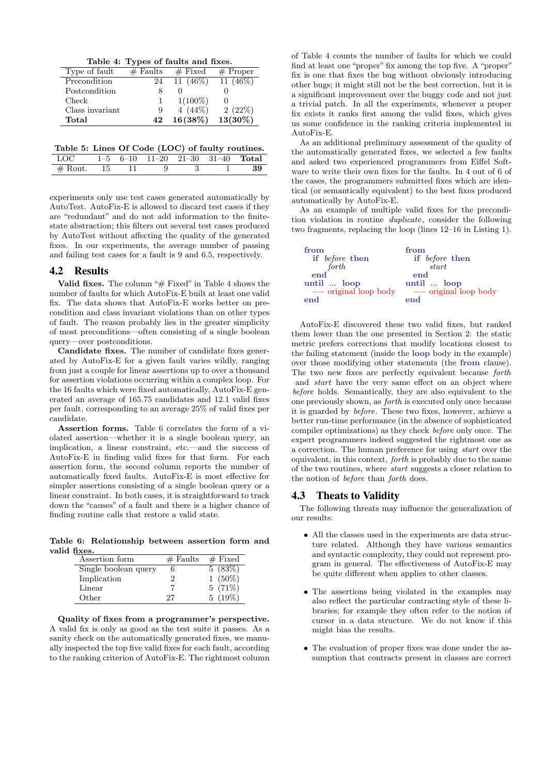Table 4: Types of faults and fixes.

| Type of fault   | $#$ Faults | $#$ Fixed   | $#$ Proper |
|-----------------|------------|-------------|------------|
| Precondition    | 24         | 11 $(46\%)$ | $11(46\%)$ |
| Postcondition   | 8          |             |            |
| Check           |            | $1(100\%)$  |            |
| Class invariant | 9          | 4 $(44\%)$  | 2(22%)     |
| Total           | 42         | 16(38%)     | $13(30\%)$ |

Table 5: Lines Of Code (LOC) of faulty routines.

| - LOC            |  |  | $1-5$ 6-10 11-20 21-30 31-40 <b>Total</b> |  |
|------------------|--|--|-------------------------------------------|--|
| $\#$ Rout. 15 11 |  |  |                                           |  |

experiments only use test cases generated automatically by AutoTest. AutoFix-E is allowed to discard test cases if they are "redundant" and do not add information to the finitestate abstraction; this filters out several test cases produced by AutoTest without affecting the quality of the generated fixes. In our experiments, the average number of passing and failing test cases for a fault is 9 and 6.5, respectively.

## 4.2 Results

Valid fixes. The column " $#$  Fixed" in Table 4 shows the number of faults for which AutoFix-E built at least one valid fix. The data shows that AutoFix-E works better on precondition and class invariant violations than on other types of fault. The reason probably lies in the greater simplicity of most preconditions—often consisting of a single boolean query—over postconditions.

Candidate fixes. The number of candidate fixes generated by AutoFix-E for a given fault varies wildly, ranging from just a couple for linear assertions up to over a thousand for assertion violations occurring within a complex loop. For the 16 faults which were fixed automatically, AutoFix-E generated an average of 165.75 candidates and 12.1 valid fixes per fault, corresponding to an average 25% of valid fixes per candidate.

Assertion forms. Table 6 correlates the form of a violated assertion—whether it is a single boolean query, an implication, a linear constraint, etc.—and the success of AutoFix-E in finding valid fixes for that form. For each assertion form, the second column reports the number of automatically fixed faults. AutoFix-E is most effective for simpler assertions consisting of a single boolean query or a linear constraint. In both cases, it is straightforward to track down the "causes" of a fault and there is a higher chance of finding routine calls that restore a valid state.

Table 6: Relationship between assertion form and valid fixes.

| Assertion form       | $#$ Faults | $#$ Fixed |
|----------------------|------------|-----------|
| Single boolean query |            | 5(83%)    |
| Implication          |            | $1(50\%)$ |
| Linear               |            | $5(71\%)$ |
| Other                | 27         | $5(19\%)$ |

Quality of fixes from a programmer's perspective. A valid fix is only as good as the test suite it passes. As a sanity check on the automatically generated fixes, we manually inspected the top five valid fixes for each fault, according to the ranking criterion of AutoFix-E. The rightmost column

of Table 4 counts the number of faults for which we could find at least one "proper" fix among the top five. A "proper" fix is one that fixes the bug without obviously introducing other bugs; it might still not be the best correction, but it is a significant improvement over the buggy code and not just a trivial patch. In all the experiments, whenever a proper fix exists it ranks first among the valid fixes, which gives us some confidence in the ranking criteria implemented in AutoFix-E.

As an additional preliminary assessment of the quality of the automatically generated fixes, we selected a few faults and asked two experienced programmers from Eiffel Software to write their own fixes for the faults. In 4 out of 6 of the cases, the programmers submitted fixes which are identical (or semantically equivalent) to the best fixes produced automatically by AutoFix-E.

As an example of multiple valid fixes for the precondition violation in routine *duplicate*, consider the following two fragments, replacing the loop (lines 12–16 in Listing 1).

| from                    | from                    |
|-------------------------|-------------------------|
| if before then          | if before then          |
| forth                   | start                   |
|                         | end                     |
| until  loop             | until  loop             |
| $--$ original loop body | $--$ original loop body |
| end                     | end                     |

AutoFix-E discovered these two valid fixes, but ranked them lower than the one presented in Section 2: the static metric prefers corrections that modify locations closest to the failing statement (inside the loop body in the example) over those modifying other statements (the from clause). The two new fixes are perfectly equivalent because forth and start have the very same effect on an object where before holds. Semantically, they are also equivalent to the one previously shown, as forth is executed only once because it is guarded by before. These two fixes, however, achieve a better run-time performance (in the absence of sophisticated compiler optimizations) as they check before only once. The expert programmers indeed suggested the rightmost one as a correction. The human preference for using start over the equivalent, in this context, forth is probably due to the name of the two routines, where start suggests a closer relation to the notion of before than forth does.

## 4.3 Theats to Validity

The following threats may influence the generalization of our results:

- All the classes used in the experiments are data structure related. Although they have various semantics and syntactic complexity, they could not represent program in general. The effectiveness of AutoFix-E may be quite different when applies to other classes.
- The assertions being violated in the examples may also reflect the particular contracting style of these libraries; for example they often refer to the notion of cursor in a data structure. We do not know if this might bias the results.
- The evaluation of proper fixes was done under the assumption that contracts present in classes are correct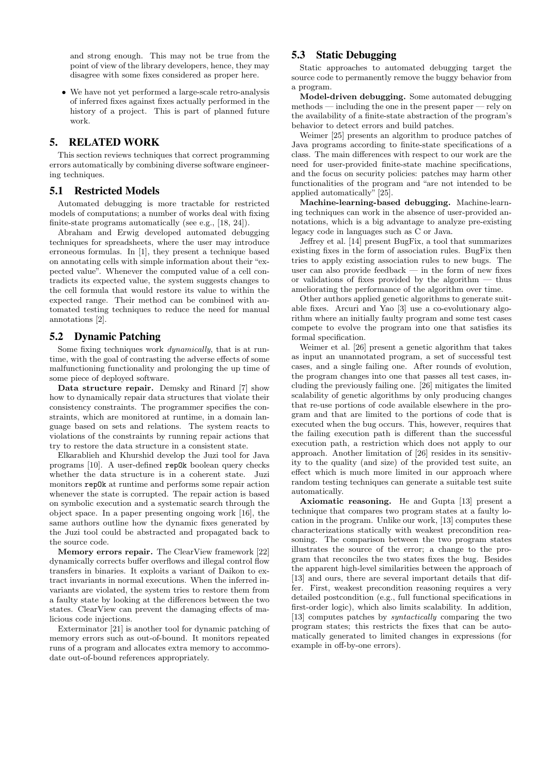and strong enough. This may not be true from the point of view of the library developers, hence, they may disagree with some fixes considered as proper here.

• We have not yet performed a large-scale retro-analysis of inferred fixes against fixes actually performed in the history of a project. This is part of planned future work.

# 5. RELATED WORK

This section reviews techniques that correct programming errors automatically by combining diverse software engineering techniques.

# 5.1 Restricted Models

Automated debugging is more tractable for restricted models of computations; a number of works deal with fixing finite-state programs automatically (see e.g., [18, 24]).

Abraham and Erwig developed automated debugging techniques for spreadsheets, where the user may introduce erroneous formulas. In [1], they present a technique based on annotating cells with simple information about their "expected value". Whenever the computed value of a cell contradicts its expected value, the system suggests changes to the cell formula that would restore its value to within the expected range. Their method can be combined with automated testing techniques to reduce the need for manual annotations [2].

## 5.2 Dynamic Patching

Some fixing techniques work dynamically, that is at runtime, with the goal of contrasting the adverse effects of some malfunctioning functionality and prolonging the up time of some piece of deployed software.

Data structure repair. Demsky and Rinard [7] show how to dynamically repair data structures that violate their consistency constraints. The programmer specifies the constraints, which are monitored at runtime, in a domain language based on sets and relations. The system reacts to violations of the constraints by running repair actions that try to restore the data structure in a consistent state.

Elkarablieh and Khurshid develop the Juzi tool for Java programs [10]. A user-defined repOk boolean query checks whether the data structure is in a coherent state. Juzi monitors repOk at runtime and performs some repair action whenever the state is corrupted. The repair action is based on symbolic execution and a systematic search through the object space. In a paper presenting ongoing work [16], the same authors outline how the dynamic fixes generated by the Juzi tool could be abstracted and propagated back to the source code.

Memory errors repair. The ClearView framework [22] dynamically corrects buffer overflows and illegal control flow transfers in binaries. It exploits a variant of Daikon to extract invariants in normal executions. When the inferred invariants are violated, the system tries to restore them from a faulty state by looking at the differences between the two states. ClearView can prevent the damaging effects of malicious code injections.

Exterminator [21] is another tool for dynamic patching of memory errors such as out-of-bound. It monitors repeated runs of a program and allocates extra memory to accommodate out-of-bound references appropriately.

# 5.3 Static Debugging

Static approaches to automated debugging target the source code to permanently remove the buggy behavior from a program.

Model-driven debugging. Some automated debugging methods — including the one in the present paper — rely on the availability of a finite-state abstraction of the program's behavior to detect errors and build patches.

Weimer [25] presents an algorithm to produce patches of Java programs according to finite-state specifications of a class. The main differences with respect to our work are the need for user-provided finite-state machine specifications, and the focus on security policies: patches may harm other functionalities of the program and "are not intended to be applied automatically" [25].

Machine-learning-based debugging. Machine-learning techniques can work in the absence of user-provided annotations, which is a big advantage to analyze pre-existing legacy code in languages such as C or Java.

Jeffrey et al. [14] present BugFix, a tool that summarizes existing fixes in the form of association rules. BugFix then tries to apply existing association rules to new bugs. The user can also provide feedback — in the form of new fixes or validations of fixes provided by the algorithm — thus ameliorating the performance of the algorithm over time.

Other authors applied genetic algorithms to generate suitable fixes. Arcuri and Yao [3] use a co-evolutionary algorithm where an initially faulty program and some test cases compete to evolve the program into one that satisfies its formal specification.

Weimer et al. [26] present a genetic algorithm that takes as input an unannotated program, a set of successful test cases, and a single failing one. After rounds of evolution, the program changes into one that passes all test cases, including the previously failing one. [26] mitigates the limited scalability of genetic algorithms by only producing changes that re-use portions of code available elsewhere in the program and that are limited to the portions of code that is executed when the bug occurs. This, however, requires that the failing execution path is different than the successful execution path, a restriction which does not apply to our approach. Another limitation of [26] resides in its sensitivity to the quality (and size) of the provided test suite, an effect which is much more limited in our approach where random testing techniques can generate a suitable test suite automatically.

Axiomatic reasoning. He and Gupta [13] present a technique that compares two program states at a faulty location in the program. Unlike our work, [13] computes these characterizations statically with weakest precondition reasoning. The comparison between the two program states illustrates the source of the error; a change to the program that reconciles the two states fixes the bug. Besides the apparent high-level similarities between the approach of [13] and ours, there are several important details that differ. First, weakest precondition reasoning requires a very detailed postcondition (e.g., full functional specifications in first-order logic), which also limits scalability. In addition, [13] computes patches by syntactically comparing the two program states; this restricts the fixes that can be automatically generated to limited changes in expressions (for example in off-by-one errors).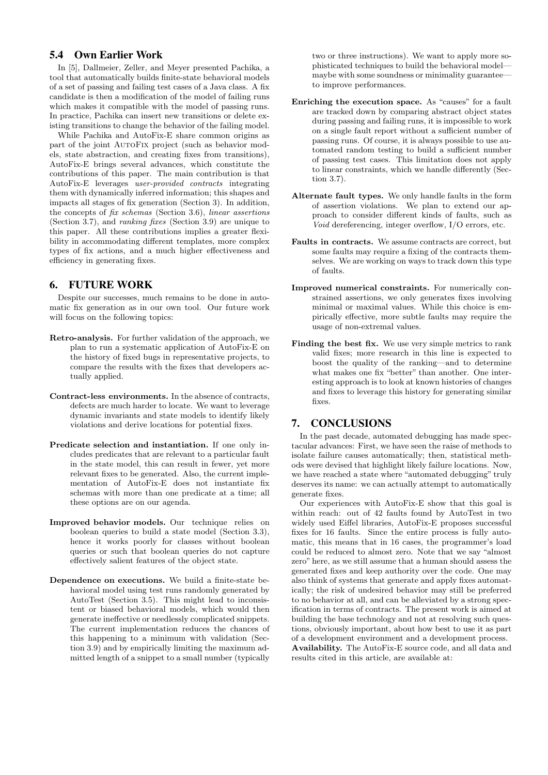# 5.4 Own Earlier Work

In [5], Dallmeier, Zeller, and Meyer presented Pachika, a tool that automatically builds finite-state behavioral models of a set of passing and failing test cases of a Java class. A fix candidate is then a modification of the model of failing runs which makes it compatible with the model of passing runs. In practice, Pachika can insert new transitions or delete existing transitions to change the behavior of the failing model.

While Pachika and AutoFix-E share common origins as part of the joint AutoFix project (such as behavior models, state abstraction, and creating fixes from transitions), AutoFix-E brings several advances, which constitute the contributions of this paper. The main contribution is that AutoFix-E leverages user-provided contracts integrating them with dynamically inferred information; this shapes and impacts all stages of fix generation (Section 3). In addition, the concepts of fix schemas (Section 3.6), linear assertions (Section 3.7), and ranking fixes (Section 3.9) are unique to this paper. All these contributions implies a greater flexibility in accommodating different templates, more complex types of fix actions, and a much higher effectiveness and efficiency in generating fixes.

# 6. FUTURE WORK

Despite our successes, much remains to be done in automatic fix generation as in our own tool. Our future work will focus on the following topics:

- Retro-analysis. For further validation of the approach, we plan to run a systematic application of AutoFix-E on the history of fixed bugs in representative projects, to compare the results with the fixes that developers actually applied.
- Contract-less environments. In the absence of contracts, defects are much harder to locate. We want to leverage dynamic invariants and state models to identify likely violations and derive locations for potential fixes.
- Predicate selection and instantiation. If one only includes predicates that are relevant to a particular fault in the state model, this can result in fewer, yet more relevant fixes to be generated. Also, the current implementation of AutoFix-E does not instantiate fix schemas with more than one predicate at a time; all these options are on our agenda.
- Improved behavior models. Our technique relies on boolean queries to build a state model (Section 3.3), hence it works poorly for classes without boolean queries or such that boolean queries do not capture effectively salient features of the object state.
- Dependence on executions. We build a finite-state behavioral model using test runs randomly generated by AutoTest (Section 3.5). This might lead to inconsistent or biased behavioral models, which would then generate ineffective or needlessly complicated snippets. The current implementation reduces the chances of this happening to a minimum with validation (Section 3.9) and by empirically limiting the maximum admitted length of a snippet to a small number (typically

two or three instructions). We want to apply more sophisticated techniques to build the behavioral model maybe with some soundness or minimality guarantee to improve performances.

- Enriching the execution space. As "causes" for a fault are tracked down by comparing abstract object states during passing and failing runs, it is impossible to work on a single fault report without a sufficient number of passing runs. Of course, it is always possible to use automated random testing to build a sufficient number of passing test cases. This limitation does not apply to linear constraints, which we handle differently (Section 3.7).
- Alternate fault types. We only handle faults in the form of assertion violations. We plan to extend our approach to consider different kinds of faults, such as Void dereferencing, integer overflow, I/O errors, etc.
- Faults in contracts. We assume contracts are correct, but some faults may require a fixing of the contracts themselves. We are working on ways to track down this type of faults.
- Improved numerical constraints. For numerically constrained assertions, we only generates fixes involving minimal or maximal values. While this choice is empirically effective, more subtle faults may require the usage of non-extremal values.
- Finding the best fix. We use very simple metrics to rank valid fixes; more research in this line is expected to boost the quality of the ranking—and to determine what makes one fix "better" than another. One interesting approach is to look at known histories of changes and fixes to leverage this history for generating similar fixes.

# 7. CONCLUSIONS

In the past decade, automated debugging has made spectacular advances: First, we have seen the raise of methods to isolate failure causes automatically; then, statistical methods were devised that highlight likely failure locations. Now, we have reached a state where "automated debugging" truly deserves its name: we can actually attempt to automatically generate fixes.

Our experiences with AutoFix-E show that this goal is within reach: out of 42 faults found by AutoTest in two widely used Eiffel libraries, AutoFix-E proposes successful fixes for 16 faults. Since the entire process is fully automatic, this means that in 16 cases, the programmer's load could be reduced to almost zero. Note that we say "almost zero" here, as we still assume that a human should assess the generated fixes and keep authority over the code. One may also think of systems that generate and apply fixes automatically; the risk of undesired behavior may still be preferred to no behavior at all, and can be alleviated by a strong specification in terms of contracts. The present work is aimed at building the base technology and not at resolving such questions, obviously important, about how best to use it as part of a development environment and a development process. Availability. The AutoFix-E source code, and all data and results cited in this article, are available at: